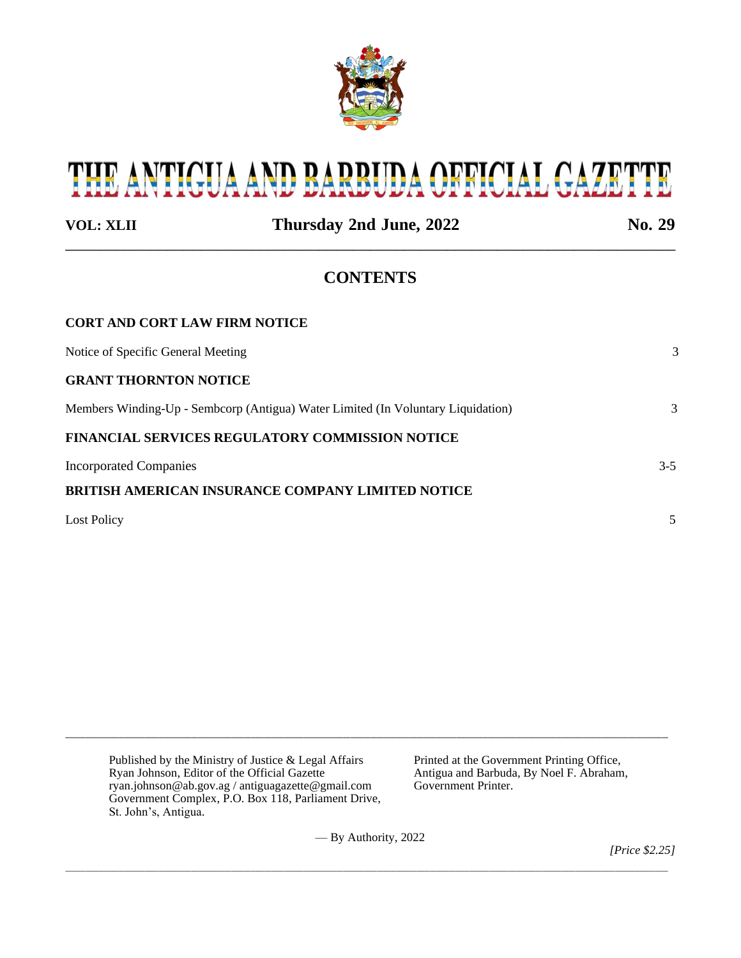

# THE ANTIGUA AND BARBUDA OFFICIAL GAZETTE

# **VOL: XLII Thursday 2nd June, 2022 No. 29** \_\_\_\_\_\_\_\_\_\_\_\_\_\_\_\_\_\_\_\_\_\_\_\_\_\_\_\_\_\_\_\_\_\_\_\_\_\_\_\_\_\_\_\_\_\_\_\_\_\_\_\_\_\_\_\_\_\_\_\_\_\_\_\_\_\_\_\_\_\_\_\_

# **CONTENTS**

# **CORT AND CORT LAW FIRM NOTICE**

| Notice of Specific General Meeting                                               | 3       |
|----------------------------------------------------------------------------------|---------|
| <b>GRANT THORNTON NOTICE</b>                                                     |         |
| Members Winding-Up - Sembcorp (Antigua) Water Limited (In Voluntary Liquidation) | 3       |
| FINANCIAL SERVICES REGULATORY COMMISSION NOTICE                                  |         |
| <b>Incorporated Companies</b>                                                    | $3 - 5$ |
| BRITISH AMERICAN INSURANCE COMPANY LIMITED NOTICE                                |         |
| <b>Lost Policy</b>                                                               |         |
|                                                                                  |         |

Published by the Ministry of Justice & Legal Affairs Printed at the Government Printing Office,<br>
Ryan Johnson, Editor of the Official Gazette Antigua and Barbuda, By Noel F. Abraham, Ryan Johnson, Editor of the Official Gazette ryan.johnson@ab.gov.ag / antiguagazette@gmail.com Government Printer. Government Complex, P.O. Box 118, Parliament Drive, St. John's, Antigua.

— By Authority, 2022

\_\_\_\_\_\_\_\_\_\_\_\_\_\_\_\_\_\_\_\_\_\_\_\_\_\_\_\_\_\_\_\_\_\_\_\_\_\_\_\_\_\_\_\_\_\_\_\_\_\_\_\_\_\_\_\_\_\_\_\_\_\_\_\_\_\_\_\_\_\_\_\_\_\_\_\_\_\_\_\_\_\_\_\_\_\_\_\_\_\_\_

\_\_\_\_\_\_\_\_\_\_\_\_\_\_\_\_\_\_\_\_\_\_\_\_\_\_\_\_\_\_\_\_\_\_\_\_\_\_\_\_\_\_\_\_\_\_\_\_\_\_\_\_\_\_\_\_\_\_\_\_\_\_\_\_\_\_\_\_\_\_\_\_\_\_\_\_\_\_\_\_\_\_\_\_\_\_\_\_\_\_\_

*[Price \$2.25]*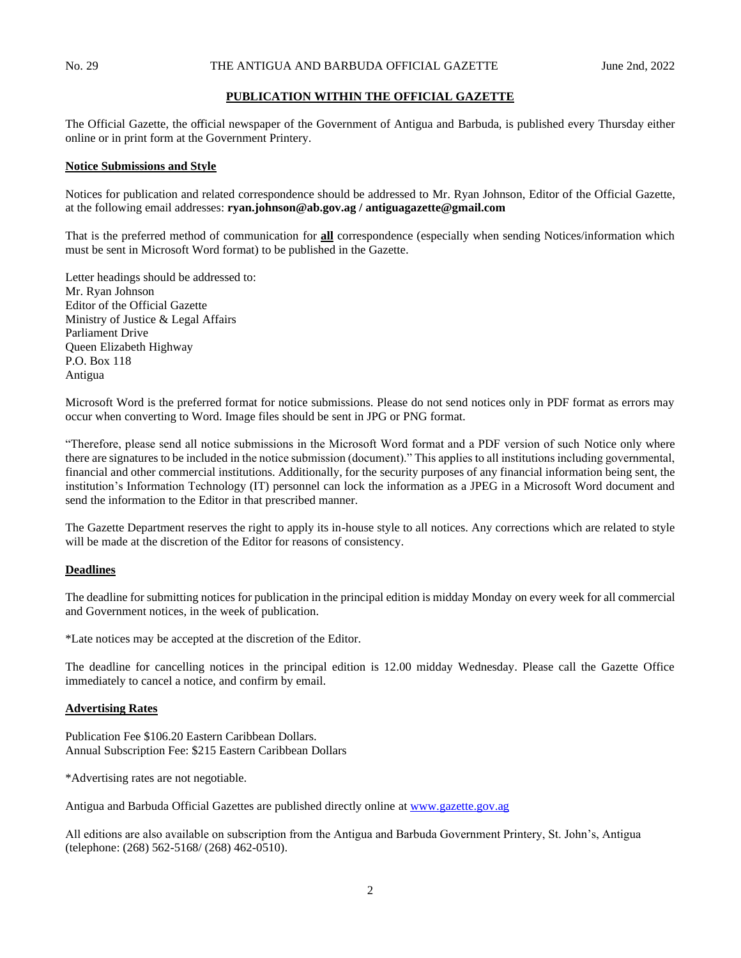# **PUBLICATION WITHIN THE OFFICIAL GAZETTE**

The Official Gazette, the official newspaper of the Government of Antigua and Barbuda, is published every Thursday either online or in print form at the Government Printery.

## **Notice Submissions and Style**

Notices for publication and related correspondence should be addressed to Mr. Ryan Johnson, Editor of the Official Gazette, at the following email addresses: **ryan.johnson@ab.gov.ag / antiguagazette@gmail.com**

That is the preferred method of communication for **all** correspondence (especially when sending Notices/information which must be sent in Microsoft Word format) to be published in the Gazette.

Letter headings should be addressed to: Mr. Ryan Johnson Editor of the Official Gazette Ministry of Justice & Legal Affairs Parliament Drive Queen Elizabeth Highway P.O. Box 118 Antigua

Microsoft Word is the preferred format for notice submissions. Please do not send notices only in PDF format as errors may occur when converting to Word. Image files should be sent in JPG or PNG format.

"Therefore, please send all notice submissions in the Microsoft Word format and a PDF version of such Notice only where there are signatures to be included in the notice submission (document)." This applies to all institutions including governmental, financial and other commercial institutions. Additionally, for the security purposes of any financial information being sent, the institution's Information Technology (IT) personnel can lock the information as a JPEG in a Microsoft Word document and send the information to the Editor in that prescribed manner.

The Gazette Department reserves the right to apply its in-house style to all notices. Any corrections which are related to style will be made at the discretion of the Editor for reasons of consistency.

## **Deadlines**

The deadline for submitting notices for publication in the principal edition is midday Monday on every week for all commercial and Government notices, in the week of publication.

\*Late notices may be accepted at the discretion of the Editor.

The deadline for cancelling notices in the principal edition is 12.00 midday Wednesday. Please call the Gazette Office immediately to cancel a notice, and confirm by email.

#### **Advertising Rates**

Publication Fee \$106.20 Eastern Caribbean Dollars. Annual Subscription Fee: \$215 Eastern Caribbean Dollars

\*Advertising rates are not negotiable.

Antigua and Barbuda Official Gazettes are published directly online at [www.gazette.gov.ag](http://www.gazette.gov.ag/)

All editions are also available on subscription from the Antigua and Barbuda Government Printery, St. John's, Antigua (telephone: (268) 562-5168/ (268) 462-0510).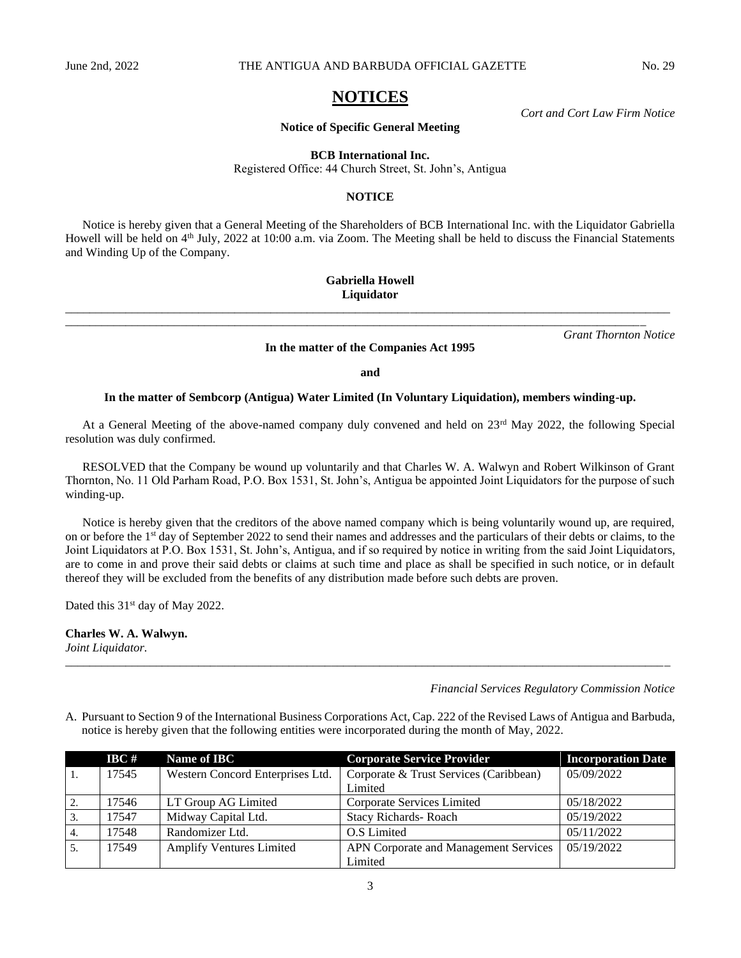# **NOTICES**

#### **Notice of Specific General Meeting**

#### **BCB International Inc.**

Registered Office: 44 Church Street, St. John's, Antigua

#### **NOTICE**

Notice is hereby given that a General Meeting of the Shareholders of BCB International Inc. with the Liquidator Gabriella Howell will be held on 4<sup>th</sup> July, 2022 at 10:00 a.m. via Zoom. The Meeting shall be held to discuss the Financial Statements and Winding Up of the Company.

## **Gabriella Howell Liquidator** *\_\_\_\_\_\_\_\_\_\_\_\_\_\_\_\_\_\_\_\_\_\_\_\_\_\_\_\_\_\_\_\_\_\_\_\_\_\_\_\_\_\_\_\_\_\_\_\_\_\_\_\_\_\_\_\_\_\_\_\_\_\_\_\_\_\_\_\_\_\_\_\_\_\_\_\_\_\_\_\_\_\_\_\_\_\_\_\_\_\_\_\_\_\_\_\_\_\_\_\_*

*\_\_\_\_\_\_\_\_\_\_\_\_\_\_\_\_\_\_\_\_\_\_\_\_\_\_\_\_\_\_\_\_\_\_\_\_\_\_\_\_\_\_\_\_\_\_\_\_\_\_\_\_\_\_\_\_\_\_\_\_\_\_\_\_\_\_\_\_\_\_\_\_\_\_\_\_\_\_\_\_\_\_\_\_\_\_\_\_\_\_\_\_\_\_\_\_*

*Grant Thornton Notice*

*Cort and Cort Law Firm Notice*

**In the matter of the Companies Act 1995 and**

#### **In the matter of Sembcorp (Antigua) Water Limited (In Voluntary Liquidation), members winding-up.**

At a General Meeting of the above-named company duly convened and held on 23rd May 2022, the following Special resolution was duly confirmed.

RESOLVED that the Company be wound up voluntarily and that Charles W. A. Walwyn and Robert Wilkinson of Grant Thornton, No. 11 Old Parham Road, P.O. Box 1531, St. John's, Antigua be appointed Joint Liquidators for the purpose of such winding-up.

Notice is hereby given that the creditors of the above named company which is being voluntarily wound up, are required, on or before the 1st day of September 2022 to send their names and addresses and the particulars of their debts or claims, to the Joint Liquidators at P.O. Box 1531, St. John's, Antigua, and if so required by notice in writing from the said Joint Liquidators, are to come in and prove their said debts or claims at such time and place as shall be specified in such notice, or in default thereof they will be excluded from the benefits of any distribution made before such debts are proven.

Dated this 31<sup>st</sup> day of May 2022.

**Charles W. A. Walwyn.** *Joint Liquidator.*

*Financial Services Regulatory Commission Notice*

A. Pursuant to Section 9 of the International Business Corporations Act, Cap. 222 of the Revised Laws of Antigua and Barbuda, notice is hereby given that the following entities were incorporated during the month of May, 2022.

*\_\_\_\_\_\_\_\_\_\_\_\_\_\_\_\_\_\_\_\_\_\_\_\_\_\_\_\_\_\_\_\_\_\_\_\_\_\_\_\_\_\_\_\_\_\_\_\_\_\_\_\_\_\_\_\_\_\_\_\_\_\_\_\_\_\_\_\_\_\_\_\_\_\_\_\_\_\_\_\_\_\_\_\_\_\_\_\_\_\_\_\_\_\_\_\_\_\_\_\_*

|                  | $\bf{I} \bf{B} \bf{C}$ # | Name of IBC                      | <b>Corporate Service Provider</b>      | <b>Incorporation Date</b> |
|------------------|--------------------------|----------------------------------|----------------------------------------|---------------------------|
| -1.              | 17545                    | Western Concord Enterprises Ltd. | Corporate & Trust Services (Caribbean) | 05/09/2022                |
|                  |                          |                                  | Limited                                |                           |
| 2.               | 17546                    | LT Group AG Limited              | Corporate Services Limited             | 05/18/2022                |
| $\overline{3}$ . | 17547                    | Midway Capital Ltd.              | <b>Stacy Richards-Roach</b>            | 05/19/2022                |
| 4.               | 17548                    | Randomizer Ltd.                  | O.S Limited                            | 05/11/2022                |
| 5.               | 17549                    | <b>Amplify Ventures Limited</b>  | APN Corporate and Management Services  | 05/19/2022                |
|                  |                          |                                  | Limited                                |                           |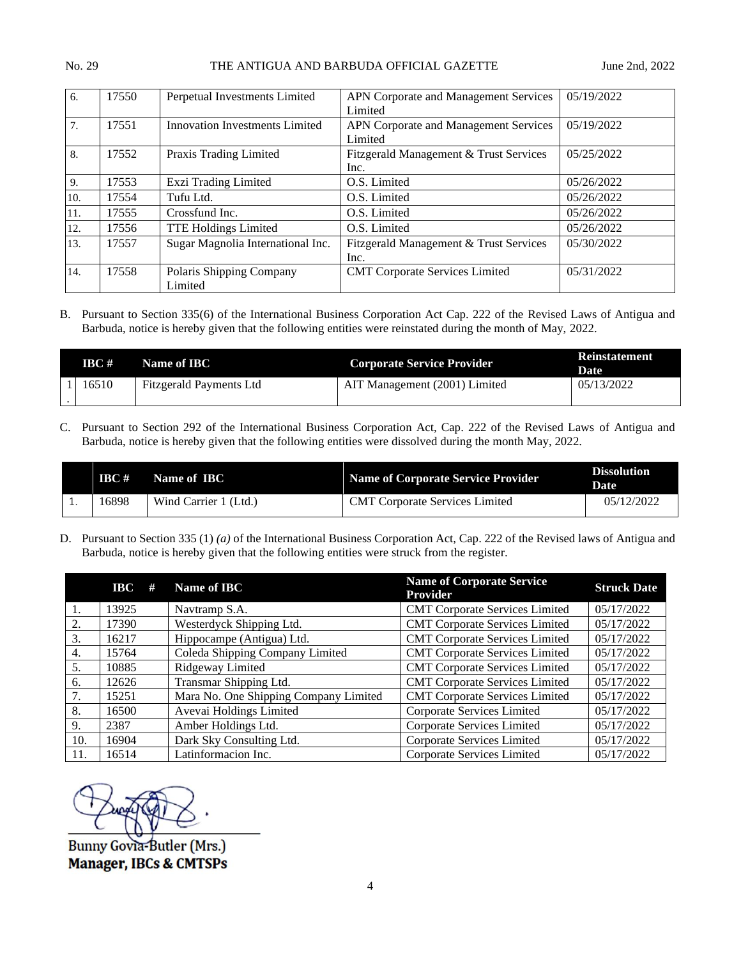| 6.  | 17550 | Perpetual Investments Limited       | APN Corporate and Management Services<br>Limited | 05/19/2022 |
|-----|-------|-------------------------------------|--------------------------------------------------|------------|
| 7.  | 17551 | Innovation Investments Limited      | APN Corporate and Management Services<br>Limited | 05/19/2022 |
| 8.  | 17552 | Praxis Trading Limited              | Fitzgerald Management & Trust Services<br>Inc.   | 05/25/2022 |
| 9.  | 17553 | Exzi Trading Limited                | O.S. Limited                                     | 05/26/2022 |
| 10. | 17554 | Tufu Ltd.                           | O.S. Limited                                     | 05/26/2022 |
| 11. | 17555 | Crossfund Inc.                      | O.S. Limited                                     | 05/26/2022 |
| 12. | 17556 | <b>TTE Holdings Limited</b>         | O.S. Limited                                     | 05/26/2022 |
| 13. | 17557 | Sugar Magnolia International Inc.   | Fitzgerald Management & Trust Services<br>Inc.   | 05/30/2022 |
| 14. | 17558 | Polaris Shipping Company<br>Limited | <b>CMT Corporate Services Limited</b>            | 05/31/2022 |

B. Pursuant to Section 335(6) of the International Business Corporation Act Cap. 222 of the Revised Laws of Antigua and Barbuda, notice is hereby given that the following entities were reinstated during the month of May, 2022.

| IBC # | Name of IBC             | <b>Corporate Service Provider</b> | <b>Reinstatement</b><br>Date |
|-------|-------------------------|-----------------------------------|------------------------------|
| 16510 | Fitzgerald Payments Ltd | AIT Management (2001) Limited     | 05/13/2022                   |

C. Pursuant to Section 292 of the International Business Corporation Act, Cap. 222 of the Revised Laws of Antigua and Barbuda, notice is hereby given that the following entities were dissolved during the month May, 2022.

| IBC # | Name of IBC           | <b>Name of Corporate Service Provider</b> | <b>Dissolution</b><br><b>Date</b> |
|-------|-----------------------|-------------------------------------------|-----------------------------------|
| 16898 | Wind Carrier 1 (Ltd.) | <b>CMT</b> Corporate Services Limited     | 05/12/2022                        |

D. Pursuant to Section 335 (1) *(a)* of the International Business Corporation Act, Cap. 222 of the Revised laws of Antigua and Barbuda, notice is hereby given that the following entities were struck from the register.

|     | $\bf{B}$ $\bf{C}$<br># | Name of IBC                           | <b>Name of Corporate Service</b><br><b>Provider</b> | <b>Struck Date</b> |
|-----|------------------------|---------------------------------------|-----------------------------------------------------|--------------------|
|     | 13925                  | Navtramp S.A.                         | <b>CMT Corporate Services Limited</b>               | 05/17/2022         |
| 2.  | 17390                  | Westerdyck Shipping Ltd.              | <b>CMT</b> Corporate Services Limited               | 05/17/2022         |
| 3.  | 16217                  | Hippocampe (Antigua) Ltd.             | <b>CMT Corporate Services Limited</b>               | 05/17/2022         |
| 4.  | 15764                  | Coleda Shipping Company Limited       | <b>CMT Corporate Services Limited</b>               | 05/17/2022         |
| 5.  | 10885                  | Ridgeway Limited                      | <b>CMT Corporate Services Limited</b>               | 05/17/2022         |
| 6.  | 12626                  | Transmar Shipping Ltd.                | <b>CMT Corporate Services Limited</b>               | 05/17/2022         |
| 7.  | 15251                  | Mara No. One Shipping Company Limited | <b>CMT</b> Corporate Services Limited               | 05/17/2022         |
| 8.  | 16500                  | Avevai Holdings Limited               | Corporate Services Limited                          | 05/17/2022         |
| 9.  | 2387                   | Amber Holdings Ltd.                   | Corporate Services Limited                          | 05/17/2022         |
| 10. | 16904                  | Dark Sky Consulting Ltd.              | Corporate Services Limited                          | 05/17/2022         |
| 11. | 16514                  | Latinformacion Inc.                   | Corporate Services Limited                          | 05/17/2022         |

Bunny Govia-Butler (Mrs.) **Manager, IBCs & CMTSPs**